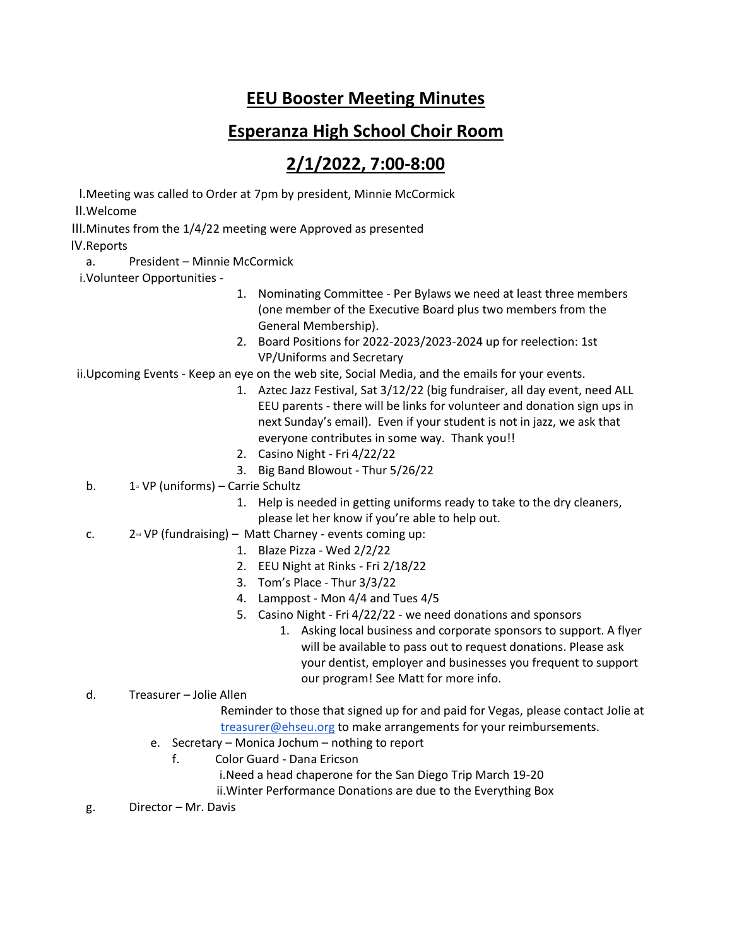## **EEU Booster Meeting Minutes**

## **Esperanza High School Choir Room**

## **2/1/2022, 7:00-8:00**

I.Meeting was called to Order at 7pm by president, Minnie McCormick

II.Welcome

III.Minutes from the 1/4/22 meeting were Approved as presented

IV.Reports

a. President – Minnie McCormick

i.Volunteer Opportunities -

- 1. Nominating Committee Per Bylaws we need at least three members (one member of the Executive Board plus two members from the General Membership).
- 2. Board Positions for 2022-2023/2023-2024 up for reelection: 1st VP/Uniforms and Secretary

ii.Upcoming Events - Keep an eye on the web site, Social Media, and the emails for your events.

- 1. Aztec Jazz Festival, Sat 3/12/22 (big fundraiser, all day event, need ALL EEU parents - there will be links for volunteer and donation sign ups in next Sunday's email). Even if your student is not in jazz, we ask that everyone contributes in some way. Thank you!!
- 2. Casino Night Fri 4/22/22
- 3. Big Band Blowout Thur 5/26/22
- b.  $1$ <sup>st</sup> VP (uniforms) Carrie Schultz
	- 1. Help is needed in getting uniforms ready to take to the dry cleaners, please let her know if you're able to help out.
- c.  $2^{nd} VP (fundraising) Matt Charney events coming up:$ 
	- 1. Blaze Pizza Wed 2/2/22
	- 2. EEU Night at Rinks Fri 2/18/22
	- 3. Tom's Place Thur 3/3/22
	- 4. Lamppost Mon 4/4 and Tues 4/5
	- 5. Casino Night Fri 4/22/22 we need donations and sponsors
		- 1. Asking local business and corporate sponsors to support. A flyer will be available to pass out to request donations. Please ask your dentist, employer and businesses you frequent to support our program! See Matt for more info.
- d. Treasurer Jolie Allen

Reminder to those that signed up for and paid for Vegas, please contact Jolie at [treasurer@ehseu.org](mailto:treasurer@ehseu.org) to make arrangements for your reimbursements.

- e. Secretary Monica Jochum nothing to report
	- f. Color Guard Dana Ericson
		- i.Need a head chaperone for the San Diego Trip March 19-20

ii.Winter Performance Donations are due to the Everything Box

g. Director – Mr. Davis